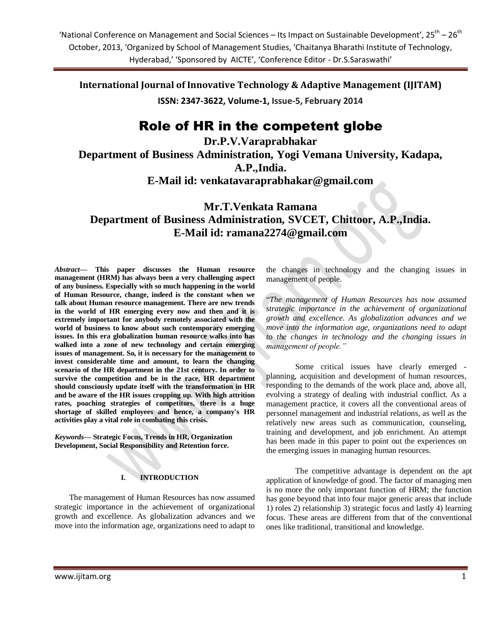**International Journal of Innovative Technology & Adaptive Management (IJITAM)**

**ISSN: 2347-3622, Volume-1, Issue-5, February 2014**

# Role of HR in the competent globe

**Dr.P.V.Varaprabhakar Department of Business Administration, Yogi Vemana University, Kadapa, A.P.,India.**

**E-Mail id: [venkatavaraprabhakar@gmail.com](mailto:venkatavaraprabhakar@gmail.com)**

**Mr.T.Venkata Ramana Department of Business Administration, SVCET, Chittoor, A.P.,India. E-Mail id: [ramana2274@gmail.com](mailto:ramana2274@gmail.com)**

*Abstract—* **This paper discusses the Human resource management (HRM) has always been a very challenging aspect of any business. Especially with so much happening in the world of Human Resource, change, indeed is the constant when we talk about Human resource management. There are new trends in the world of HR emerging every now and then and it is extremely important for anybody remotely associated with the world of business to know about such contemporary emerging issues. In this era globalization human resource walks into has walked into a zone of new technology and certain emerging issues of management. So, it is necessary for the management to invest considerable time and amount, to learn the changing scenario of the HR department in the 21st century. In order to survive the competition and be in the race, HR department should consciously update itself with the transformation in HR and be aware of the HR issues cropping up. With high attrition rates, poaching strategies of competitors, there is a huge shortage of skilled employees and hence, a company's HR activities play a vital role in combating this crisis.**

*Keywords—* **Strategic Focus, Trends in HR, Organization Development, Social Responsibility and Retention force.**

### **I. INTRODUCTION**

The management of Human Resources has now assumed strategic importance in the achievement of organizational growth and excellence. As globalization advances and we move into the information age, organizations need to adapt to

the changes in technology and the changing issues in management of people.

"*The management of Human Resources has now assumed strategic importance in the achievement of organizational growth and excellence. As globalization advances and we move into the information age, organizations need to adapt to the changes in technology and the changing issues in management of people."* 

Some critical issues have clearly emerged planning, acquisition and development of human resources, responding to the demands of the work place and, above all, evolving a strategy of dealing with industrial conflict. As a management practice, it covers all the conventional areas of personnel management and industrial relations, as well as the relatively new areas such as communication, counseling, training and development, and job enrichment. An attempt has been made in this paper to point out the experiences on the emerging issues in managing human resources.

The competitive advantage is dependent on the apt application of knowledge of good. The factor of managing men is no more the only important function of HRM; the function has gone beyond that into four major generic areas that include 1) roles 2) relationship 3) strategic focus and lastly 4) learning focus. These areas are different from that of the conventional ones like traditional, transitional and knowledge.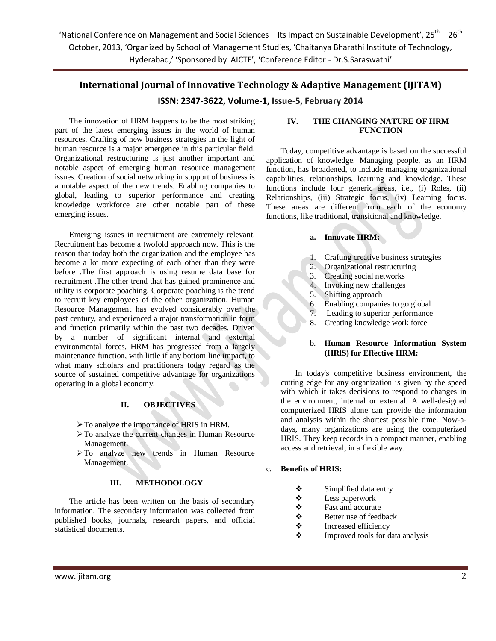# **International Journal of Innovative Technology & Adaptive Management (IJITAM)**

### **ISSN: 2347-3622, Volume-1, Issue-5, February 2014**

The innovation of HRM happens to be the most striking part of the latest emerging issues in the world of human resources. Crafting of new business strategies in the light of human resource is a major emergence in this particular field. Organizational restructuring is just another important and notable aspect of emerging human resource management issues. Creation of social networking in support of business is a notable aspect of the new trends. Enabling companies to global, leading to superior performance and creating knowledge workforce are other notable part of these emerging issues.

Emerging issues in recruitment are extremely relevant. Recruitment has become a twofold approach now. This is the reason that today both the organization and the employee has become a lot more expecting of each other than they were before .The first approach is using resume data base for recruitment .The other trend that has gained prominence and utility is corporate poaching. Corporate poaching is the trend to recruit key employees of the other organization. Human Resource Management has evolved considerably over the past century, and experienced a major transformation in form and function primarily within the past two decades. Driven by a number of significant internal and external environmental forces, HRM has progressed from a largely maintenance function, with little if any bottom line impact, to what many scholars and practitioners today regard as the source of sustained competitive advantage for organizations operating in a global economy.

### **II. OBJECTIVES**

- $\triangleright$  To analyze the importance of HRIS in HRM.
- To analyze the current changes in Human Resource Management.
- To analyze new trends in Human Resource Management.

#### **III. METHODOLOGY**

The article has been written on the basis of secondary information. The secondary information was collected from published books, journals, research papers, and official statistical documents.

### **IV. THE CHANGING NATURE OF HRM FUNCTION**

Today, competitive advantage is based on the successful application of knowledge. Managing people, as an HRM function, has broadened, to include managing organizational capabilities, relationships, learning and knowledge. These functions include four generic areas, i.e., (i) Roles, (ii) Relationships, (iii) Strategic focus, (iv) Learning focus. These areas are different from each of the economy functions, like traditional, transitional and knowledge.

### **a. Innovate HRM:**

- 1. Crafting creative business strategies
- 2. Organizational restructuring
- 3. Creating social networks
- 4. Invoking new challenges
- 5. Shifting approach
- 6. Enabling companies to go global
- 7. Leading to superior performance
- 8. Creating knowledge work force

#### b. **Human Resource Information System (HRlS) for Effective HRM:**

In today's competitive business environment, the cutting edge for any organization is given by the speed with which it takes decisions to respond to changes in the environment, internal or external. A well-designed computerized HRIS alone can provide the information and analysis within the shortest possible time. Now-adays, many organizations are using the computerized HRIS. They keep records in a compact manner, enabling access and retrieval, in a flexible way.

#### c. **Benefits of HRIS:**

- Simplified data entry
- Less paperwork
- $\begin{array}{cc}\n\bullet \\
\bullet\n\end{array}$  Fast and accurate
- Better use of feedback
- $\triangle$  Increased efficiency
- $\triangle$  Improved tools for data analysis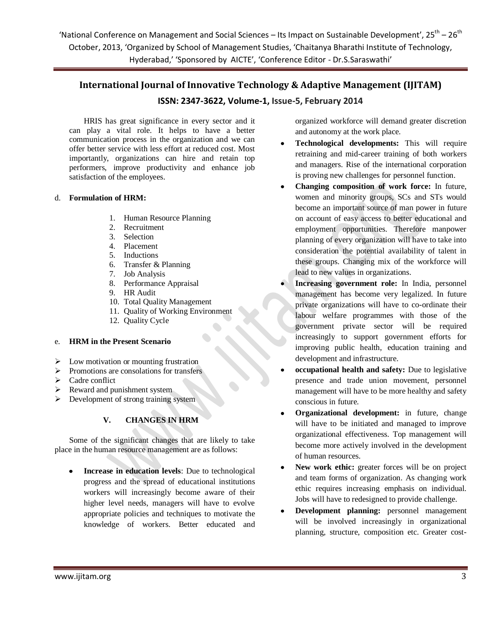# **International Journal of Innovative Technology & Adaptive Management (IJITAM)**

# **ISSN: 2347-3622, Volume-1, Issue-5, February 2014**

HRIS has great significance in every sector and it can play a vital role. It helps to have a better communication process in the organization and we can offer better service with less effort at reduced cost. Most importantly, organizations can hire and retain top performers, improve productivity and enhance job satisfaction of the employees.

### d. **Formulation of HRM:**

- 1. Human Resource Planning
- 2. Recruitment
- 3. Selection
- 4. Placement
- 5. Inductions
- 6. Transfer & Planning
- 7. Job Analysis
- 8. Performance Appraisal
- 9. HR Audit
- 10. Total Quality Management
- 11. Quality of Working Environment
- 12. Quality Cycle

### e. **HRM in the Present Scenario**

- $\triangleright$  Low motivation or mounting frustration
- $\triangleright$  Promotions are consolations for transfers
- $\triangleright$  Cadre conflict
- $\triangleright$  Reward and punishment system
- Development of strong training system

### **V. CHANGES IN HRM**

Some of the significant changes that are likely to take place in the human resource management are as follows:

**Increase in education levels**: Due to technological progress and the spread of educational institutions workers will increasingly become aware of their higher level needs, managers will have to evolve appropriate policies and techniques to motivate the knowledge of workers. Better educated and organized workforce will demand greater discretion and autonomy at the work place.

- **Technological developments:** This will require retraining and mid-career training of both workers and managers. Rise of the international corporation is proving new challenges for personnel function.
- **Changing composition of work force:** In future, women and minority groups, SCs and STs would become an important source of man power in future on account of easy access to better educational and employment opportunities. Therefore manpower planning of every organization will have to take into consideration the potential availability of talent in these groups. Changing mix of the workforce will lead to new values in organizations.
- **Increasing government role:** In India, personnel management has become very legalized. In future private organizations will have to co-ordinate their labour welfare programmes with those of the government private sector will be required increasingly to support government efforts for improving public health, education training and development and infrastructure.
- **occupational health and safety:** Due to legislative presence and trade union movement, personnel management will have to be more healthy and safety conscious in future.
- **Organizational development:** in future, change will have to be initiated and managed to improve organizational effectiveness. Top management will become more actively involved in the development of human resources.
- New work ethic: greater forces will be on project  $\bullet$ and team forms of organization. As changing work ethic requires increasing emphasis on individual. Jobs will have to redesigned to provide challenge.
- **Development planning:** personnel management will be involved increasingly in organizational planning, structure, composition etc. Greater cost-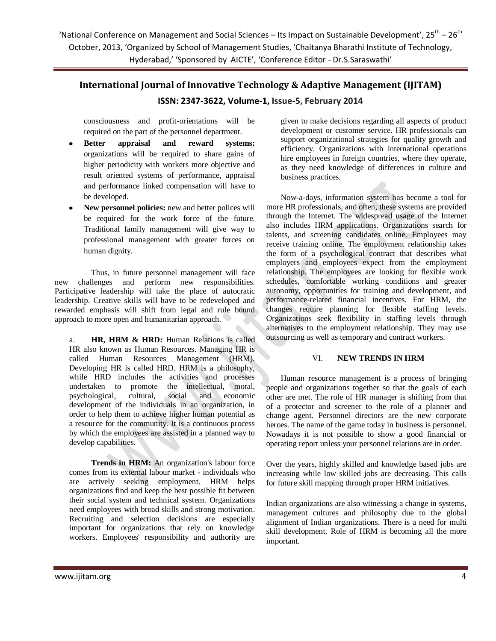# **International Journal of Innovative Technology & Adaptive Management (IJITAM) ISSN: 2347-3622, Volume-1, Issue-5, February 2014**

consciousness and profit-orientations will be

required on the part of the personnel department. **Better appraisal and reward systems:**

- organizations will be required to share gains of higher periodicity with workers more objective and result oriented systems of performance, appraisal and performance linked compensation will have to be developed.
- **New personnel policies:** new and better polices will be required for the work force of the future. Traditional family management will give way to professional management with greater forces on human dignity.

Thus, in future personnel management will face new challenges and perform new responsibilities. Participative leadership will take the place of autocratic leadership. Creative skills will have to be redeveloped and rewarded emphasis will shift from legal and rule bound approach to more open and humanitarian approach.

a. **HR, HRM & HRD:** Human Relations is called HR also known as Human Resources. Managing HR is called Human Resources Management (HRM). Developing HR is called HRD. HRM is a philosophy, while HRD includes the activities and processes undertaken to promote the intellectual, moral, psychological, cultural, social and economic development of the individuals in an organization, in order to help them to achieve higher human potential as a resource for the community. It is a continuous process by which the employees are assisted in a planned way to develop capabilities.

**Trends in HRM:** An organization's labour force comes from its external labour market - individuals who are actively seeking employment. HRM helps organizations find and keep the best possible fit between their social system and technical system. Organizations need employees with broad skills and strong motivation. Recruiting and selection decisions are especially important for organizations that rely on knowledge workers. Employees' responsibility and authority are

given to make decisions regarding all aspects of product development or customer service. HR professionals can support organizational strategies for quality growth and efficiency. Organizations with international operations hire employees in foreign countries, where they operate, as they need knowledge of differences in culture and business practices.

Now-a-days, information system has become a tool for more HR professionals, and often, these systems are provided through the Internet. The widespread usage of the Internet also includes HRM applications. Organizations search for talents, and screening candidates online. Employees may receive training online. The employment relationship takes the form of a psychological contract that describes what employers and employees expect from the employment relationship. The employees are looking for flexible work schedules, comfortable working conditions and greater autonomy, opportunities for training and development, and performance-related financial incentives. For HRM, the changes require planning for flexible staffing levels. Organizations seek flexibility in staffing levels through alternatives to the employment relationship. They may use outsourcing as well as temporary and contract workers.

### VI. **NEW TRENDS IN HRM**

Human resource management is a process of bringing people and organizations together so that the goals of each other are met. The role of HR manager is shifting from that of a protector and screener to the role of a planner and change agent. Personnel directors are the new corporate heroes. The name of the game today in business is personnel. Nowadays it is not possible to show a good financial or operating report unless your personnel relations are in order.

Over the years, highly skilled and knowledge based jobs are increasing while low skilled jobs are decreasing. This calls for future skill mapping through proper HRM initiatives.

Indian organizations are also witnessing a change in systems, management cultures and philosophy due to the global alignment of Indian organizations. There is a need for multi skill development. Role of HRM is becoming all the more important.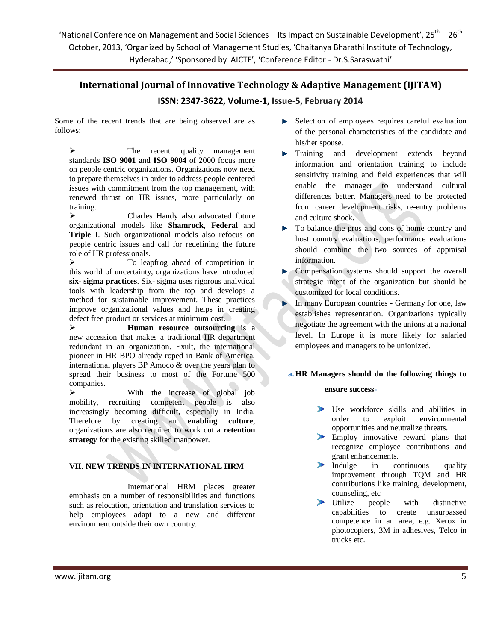# **International Journal of Innovative Technology & Adaptive Management (IJITAM)**

# **ISSN: 2347-3622, Volume-1, Issue-5, February 2014**

Some of the recent trends that are being observed are as follows:

> The recent quality management standards **ISO 9001** and **ISO 9004** of 2000 focus more on people centric organizations. Organizations now need to prepare themselves in order to address people centered issues with commitment from the top management, with renewed thrust on HR issues, more particularly on training.

 Charles Handy also advocated future organizational models like **Shamrock**, **Federal** and **Triple I**. Such organizational models also refocus on people centric issues and call for redefining the future role of HR professionals.

 To leapfrog ahead of competition in this world of uncertainty, organizations have introduced **six- sigma practices**. Six- sigma uses rigorous analytical tools with leadership from the top and develops a method for sustainable improvement. These practices improve organizational values and helps in creating defect free product or services at minimum cost.

 **Human resource outsourcing** is a new accession that makes a traditional HR department redundant in an organization. Exult, the international pioneer in HR BPO already roped in Bank of America, international players BP Amoco & over the years plan to spread their business to most of the Fortune 500 companies.

 With the increase of global job mobility, recruiting competent people is also increasingly becoming difficult, especially in India. Therefore by creating an **enabling culture**, organizations are also required to work out a **retention strategy** for the existing skilled manpower.

### **VII. NEW TRENDS IN INTERNATIONAL HRM**

International HRM places greater emphasis on a number of responsibilities and functions such as relocation, orientation and translation services to help employees adapt to a new and different environment outside their own country.

- **Selection of employees requires careful evaluation** of the personal characteristics of the candidate and his/her spouse.
- **Training and development extends beyond** information and orientation training to include sensitivity training and field experiences that will enable the manager to understand cultural differences better. Managers need to be protected from career development risks, re-entry problems and culture shock.
- To balance the pros and cons of home country and host country evaluations, performance evaluations should combine the two sources of appraisal information.
- Compensation systems should support the overall strategic intent of the organization but should be customized for local conditions.
- In many European countries Germany for one, law establishes representation. Organizations typically negotiate the agreement with the unions at a national level. In Europe it is more likely for salaried employees and managers to be unionized.

### **a.HR Managers should do the following things to**

### **ensure success-**

- Use workforce skills and abilities in order to exploit environmental opportunities and neutralize threats.
- Employ innovative reward plans that recognize employee contributions and grant enhancements.
- $\blacktriangleright$ Indulge in continuous quality improvement through TQM and HR contributions like training, development, counseling, etc
- Utilize people with distinctive capabilities to create unsurpassed competence in an area, e.g. Xerox in photocopiers, 3M in adhesives, Telco in trucks etc.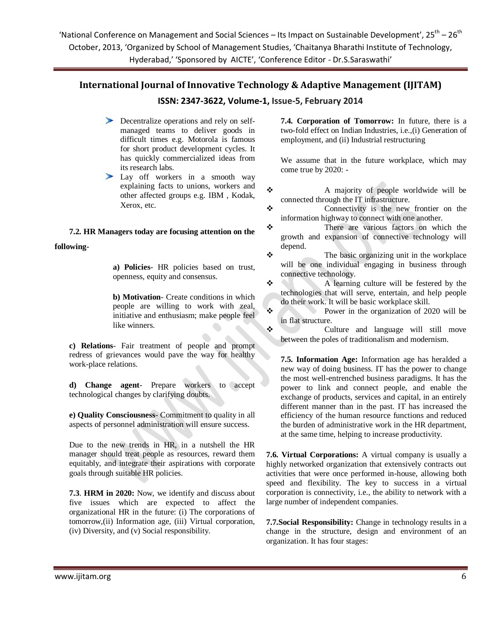# **International Journal of Innovative Technology & Adaptive Management (IJITAM)**

### **ISSN: 2347-3622, Volume-1, Issue-5, February 2014**

- Decentralize operations and rely on selfmanaged teams to deliver goods in difficult times e.g. Motorola is famous for short product development cycles. It has quickly commercialized ideas from its research labs.
- Lay off workers in a smooth way explaining facts to unions, workers and other affected groups e.g. IBM , Kodak, Xerox, etc.

### **7.2. HR Managers today are focusing attention on the**

**following-**

**a) Policies**- HR policies based on trust, openness, equity and consensus.

**b) Motivation**- Create conditions in which people are willing to work with zeal, initiative and enthusiasm; make people feel like winners.

**c) Relations**- Fair treatment of people and prompt redress of grievances would pave the way for healthy work-place relations.

**d) Change agent**- Prepare workers to accept technological changes by clarifying doubts.

**e) Quality Consciousness**- Commitment to quality in all aspects of personnel administration will ensure success.

Due to the new trends in HR, in a nutshell the HR manager should treat people as resources, reward them equitably, and integrate their aspirations with corporate goals through suitable HR policies.

**7.3**. **HRM in 2020:** Now, we identify and discuss about five issues which are expected to affect the organizational HR in the future: (i) The corporations of tomorrow,(ii) Information age, (iii) Virtual corporation, (iv) Diversity, and (v) Social responsibility.

**7.4. Corporation of Tomorrow:** In future, there is a two-fold effect on Indian Industries, i.e.,(i) Generation of employment, and (ii) Industrial restructuring

We assume that in the future workplace, which may come true by 2020: -

 A majority of people worldwide will be connected through the IT infrastructure.

- Connectivity is the new frontier on the information highway to connect with one another.
- There are various factors on which the growth and expansion of connective technology will depend.
- $\bullet$  The basic organizing unit in the workplace will be one individual engaging in business through connective technology.
- $\triangle$  A learning culture will be festered by the technologies that will serve, entertain, and help people do their work. It will be basic workplace skill.
- Power in the organization of 2020 will be in flat structure.

 Culture and language will still move between the poles of traditionalism and modernism.

**7.5. Information Age:** Information age has heralded a new way of doing business. IT has the power to change the most well-entrenched business paradigms. It has the power to link and connect people, and enable the exchange of products, services and capital, in an entirely different manner than in the past. IT has increased the efficiency of the human resource functions and reduced the burden of administrative work in the HR department, at the same time, helping to increase productivity.

**7.6. Virtual Corporations:** A virtual company is usually a highly networked organization that extensively contracts out activities that were once performed in-house, allowing both speed and flexibility. The key to success in a virtual corporation is connectivity, i.e., the ability to network with a large number of independent companies.

**7.7.Social Responsibility:** Change in technology results in a change in the structure, design and environment of an organization. It has four stages: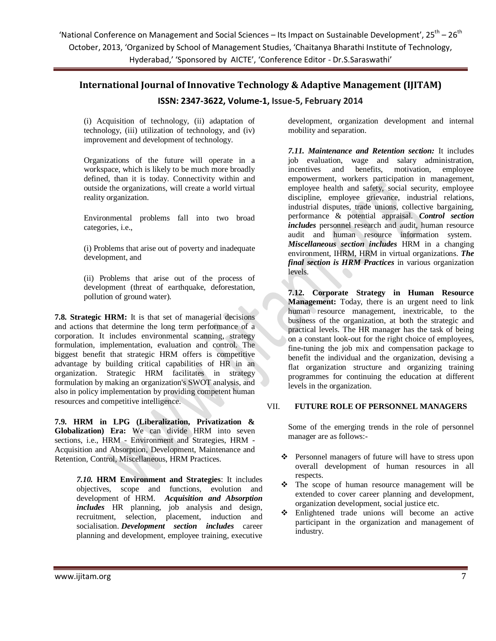# **International Journal of Innovative Technology & Adaptive Management (IJITAM)**

## **ISSN: 2347-3622, Volume-1, Issue-5, February 2014**

(i) Acquisition of technology, (ii) adaptation of technology, (iii) utilization of technology, and (iv) improvement and development of technology.

Organizations of the future will operate in a workspace, which is likely to be much more broadly defined, than it is today. Connectivity within and outside the organizations, will create a world virtual reality organization.

Environmental problems fall into two broad categories, i.e.,

(i) Problems that arise out of poverty and inadequate development, and

(ii) Problems that arise out of the process of development (threat of earthquake, deforestation, pollution of ground water).

**7.8. Strategic HRM:** It is that set of managerial decisions and actions that determine the long term performance of a corporation. It includes environmental scanning, strategy formulation, implementation, evaluation and control. The biggest benefit that strategic HRM offers is competitive advantage by building critical capabilities of HR in an organization. Strategic HRM facilitates in strategy formulation by making an organization's SWOT analysis, and also in policy implementation by providing competent human resources and competitive intelligence.

**7.9. HRM in LPG (Liberalization, Privatization & Globalization) Era:** We can divide HRM into seven sections, i.e., HRM - Environment and Strategies, HRM - Acquisition and Absorption, Development, Maintenance and Retention, Control, Miscellaneous, HRM Practices.

> *7.10.* **HRM Environment and Strategies**: It includes objectives, scope and functions, evolution and development of HRM. *Acquisition and Absorption includes* HR planning, job analysis and design, recruitment, selection, placement, induction and socialisation. *Development section includes* career planning and development, employee training, executive

development, organization development and internal mobility and separation.

*7.11. Maintenance and Retention section:* It includes job evaluation, wage and salary administration, incentives and benefits, motivation, employee empowerment, workers participation in management, employee health and safety, social security, employee discipline, employee grievance, industrial relations, industrial disputes, trade unions, collective bargaining, performance & potential appraisal. *Control section includes* personnel research and audit, human resource audit and human resource information system. *Miscellaneous section includes* HRM in a changing environment, IHRM, HRM in virtual organizations. *The final section is HRM Practices* in various organization levels.

**7.12. Corporate Strategy in Human Resource Management:** Today, there is an urgent need to link human resource management, inextricable, to the business of the organization, at both the strategic and practical levels. The HR manager has the task of being on a constant look-out for the right choice of employees, fine-tuning the job mix and compensation package to benefit the individual and the organization, devising a flat organization structure and organizing training programmes for continuing the education at different levels in the organization.

#### VII. **FUTURE ROLE OF PERSONNEL MANAGERS**

Some of the emerging trends in the role of personnel manager are as follows:-

- Personnel managers of future will have to stress upon overall development of human resources in all respects.
- \* The scope of human resource management will be extended to cover career planning and development, organization development, social justice etc.
- Enlightened trade unions will become an active participant in the organization and management of industry.